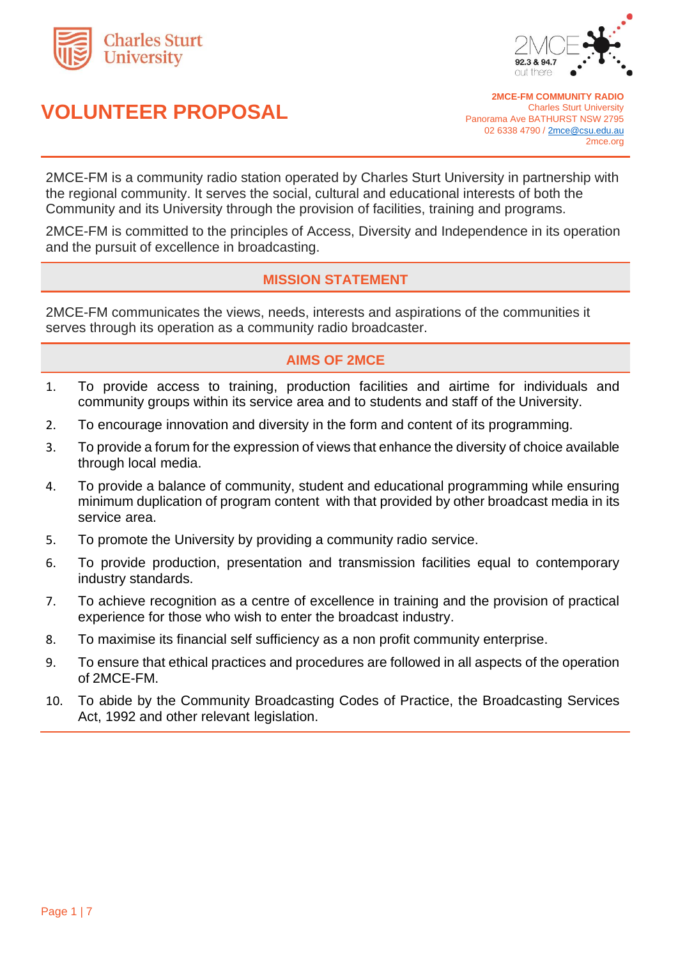





**2MCE-FM COMMUNITY RADIO** Charles Sturt University Panorama Ave BATHURST NSW 2795 02 6338 4790 [/ 2mce@csu.edu.au](mailto:2mce@csu.edu.au) 2mce.org

2MCE-FM is a community radio station operated by Charles Sturt University in partnership with the regional community. It serves the social, cultural and educational interests of both the Community and its University through the provision of facilities, training and programs.

2MCE-FM is committed to the principles of Access, Diversity and Independence in its operation and the pursuit of excellence in broadcasting.

# **MISSION STATEMENT**

2MCE-FM communicates the views, needs, interests and aspirations of the communities it serves through its operation as a community radio broadcaster.

# **AIMS OF 2MCE**

- 1. To provide access to training, production facilities and airtime for individuals and community groups within its service area and to students and staff of the University.
- 2. To encourage innovation and diversity in the form and content of its programming.
- 3. To provide a forum for the expression of views that enhance the diversity of choice available through local media.
- 4. To provide a balance of community, student and educational programming while ensuring minimum duplication of program content with that provided by other broadcast media in its service area.
- 5. To promote the University by providing a community radio service.
- 6. To provide production, presentation and transmission facilities equal to contemporary industry standards.
- 7. To achieve recognition as a centre of excellence in training and the provision of practical experience for those who wish to enter the broadcast industry.
- 8. To maximise its financial self sufficiency as a non profit community enterprise.
- 9. To ensure that ethical practices and procedures are followed in all aspects of the operation of 2MCE-FM.
- 10. To abide by the Community Broadcasting Codes of Practice, the Broadcasting Services Act, 1992 and other relevant legislation.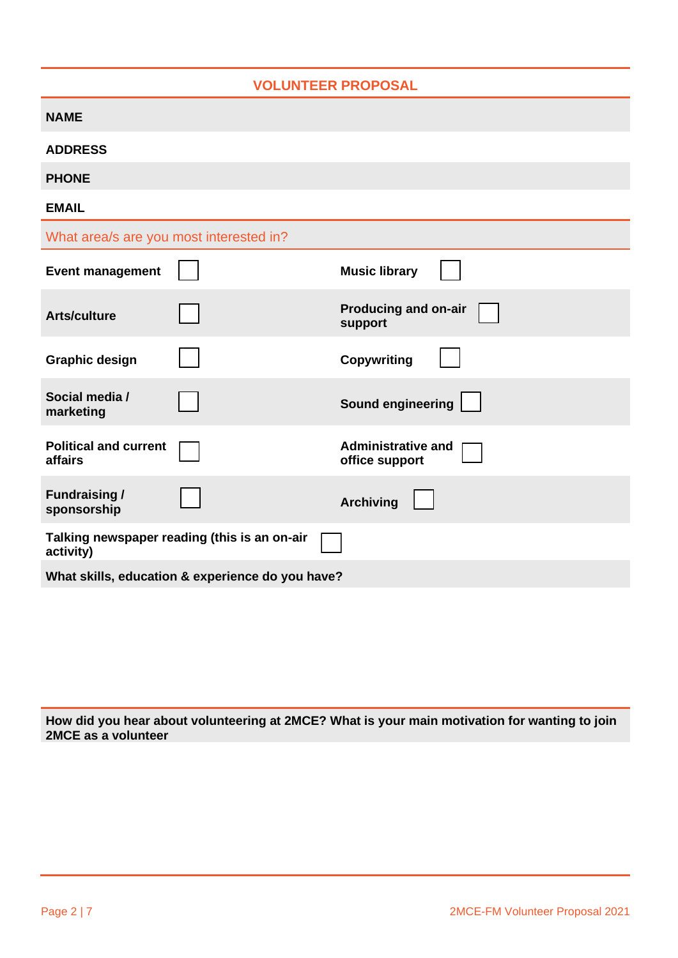| <b>VOLUNTEER PROPOSAL</b>                                 |  |                                             |  |
|-----------------------------------------------------------|--|---------------------------------------------|--|
| <b>NAME</b>                                               |  |                                             |  |
| <b>ADDRESS</b>                                            |  |                                             |  |
| <b>PHONE</b>                                              |  |                                             |  |
| <b>EMAIL</b>                                              |  |                                             |  |
| What area/s are you most interested in?                   |  |                                             |  |
| <b>Event management</b>                                   |  | <b>Music library</b>                        |  |
| <b>Arts/culture</b>                                       |  | <b>Producing and on-air</b><br>support      |  |
| <b>Graphic design</b>                                     |  | <b>Copywriting</b>                          |  |
| Social media /<br>marketing                               |  | Sound engineering                           |  |
| <b>Political and current</b><br>affairs                   |  | <b>Administrative and</b><br>office support |  |
| <b>Fundraising/</b><br>sponsorship                        |  | <b>Archiving</b>                            |  |
| Talking newspaper reading (this is an on-air<br>activity) |  |                                             |  |
| What skills, education & experience do you have?          |  |                                             |  |

**How did you hear about volunteering at 2MCE? What is your main motivation for wanting to join 2MCE as a volunteer**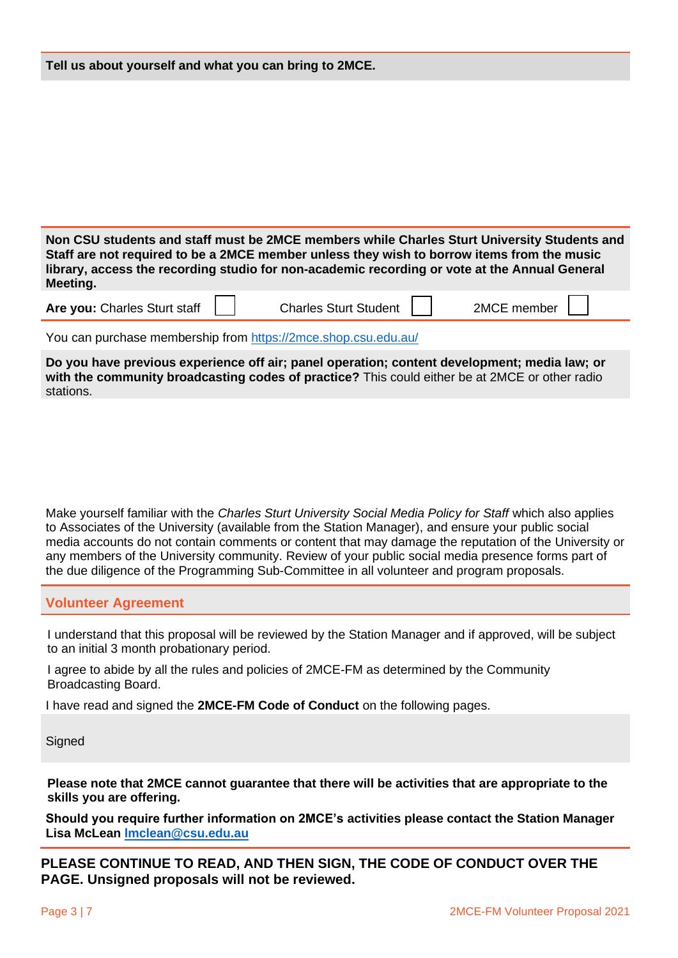| Tell us about yourself and what you can bring to 2MCE. |  |  |
|--------------------------------------------------------|--|--|
|--------------------------------------------------------|--|--|

| Non CSU students and staff must be 2MCE members while Charles Sturt University Students and<br>Staff are not required to be a 2MCE member unless they wish to borrow items from the music<br>library, access the recording studio for non-academic recording or vote at the Annual General<br>Meeting. |
|--------------------------------------------------------------------------------------------------------------------------------------------------------------------------------------------------------------------------------------------------------------------------------------------------------|
| <b>Are you:</b> Charles Sturt staff $\ \cdot\ $<br>Charles Sturt Student  <br>2MCE member                                                                                                                                                                                                              |
| You can purchase membership from https://2mce.shop.csu.edu.au/                                                                                                                                                                                                                                         |

**Do you have previous experience off air; panel operation; content development; media law; or with the community broadcasting codes of practice?** This could either be at 2MCE or other radio stations.

Make yourself familiar with the *Charles Sturt University Social Media Policy for Staff* which also applies to Associates of the University (available from the Station Manager), and ensure your public social media accounts do not contain comments or content that may damage the reputation of the University or any members of the University community. Review of your public social media presence forms part of the due diligence of the Programming Sub-Committee in all volunteer and program proposals.

# **Volunteer Agreement**

I understand that this proposal will be reviewed by the Station Manager and if approved, will be subject to an initial 3 month probationary period.

I agree to abide by all the rules and policies of 2MCE-FM as determined by the Community Broadcasting Board.

I have read and signed the **2MCE-FM Code of Conduct** on the following pages.

**Signed** 

**Please note that 2MCE cannot guarantee that there will be activities that are appropriate to the skills you are offering.**

**Should you require further information on 2MCE's activities please contact the Station Manager Lisa McLean [lmclean@csu.edu.au](mailto:lmclean@csu.edu.au)**

**PLEASE CONTINUE TO READ, AND THEN SIGN, THE CODE OF CONDUCT OVER THE PAGE. Unsigned proposals will not be reviewed.**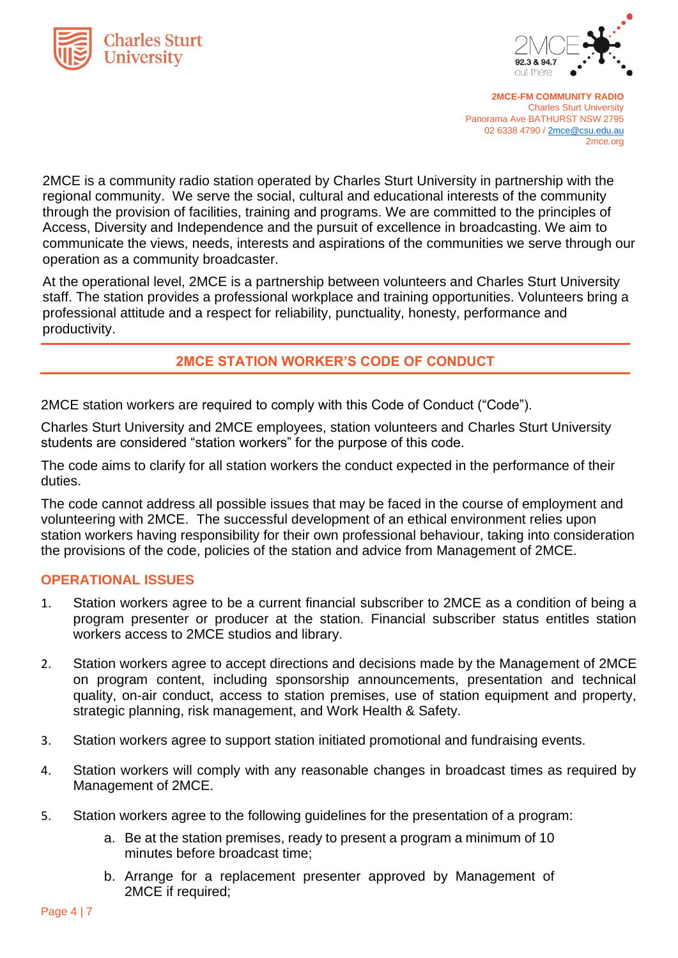



**2MCE-FM COMMUNITY RADIO** Charles Sturt University Panorama Ave BATHURST NSW 2795 02 6338 4790 [/ 2mce@csu.edu.au](mailto:2mce@csu.edu.au) 2mce.org

2MCE is a community radio station operated by Charles Sturt University in partnership with the regional community. We serve the social, cultural and educational interests of the community through the provision of facilities, training and programs. We are committed to the principles of Access, Diversity and Independence and the pursuit of excellence in broadcasting. We aim to communicate the views, needs, interests and aspirations of the communities we serve through our operation as a community broadcaster.

At the operational level, 2MCE is a partnership between volunteers and Charles Sturt University staff. The station provides a professional workplace and training opportunities. Volunteers bring a professional attitude and a respect for reliability, punctuality, honesty, performance and productivity.

# **2MCE STATION WORKER'S CODE OF CONDUCT**

2MCE station workers are required to comply with this Code of Conduct ("Code").

Charles Sturt University and 2MCE employees, station volunteers and Charles Sturt University students are considered "station workers" for the purpose of this code.

The code aims to clarify for all station workers the conduct expected in the performance of their duties.

The code cannot address all possible issues that may be faced in the course of employment and volunteering with 2MCE. The successful development of an ethical environment relies upon station workers having responsibility for their own professional behaviour, taking into consideration the provisions of the code, policies of the station and advice from Management of 2MCE.

#### **OPERATIONAL ISSUES**

- 1. Station workers agree to be a current financial subscriber to 2MCE as a condition of being a program presenter or producer at the station. Financial subscriber status entitles station workers access to 2MCE studios and library.
- 2. Station workers agree to accept directions and decisions made by the Management of 2MCE on program content, including sponsorship announcements, presentation and technical quality, on-air conduct, access to station premises, use of station equipment and property, strategic planning, risk management, and Work Health & Safety.
- 3. Station workers agree to support station initiated promotional and fundraising events.
- 4. Station workers will comply with any reasonable changes in broadcast times as required by Management of 2MCE.
- 5. Station workers agree to the following guidelines for the presentation of a program:
	- a. Be at the station premises, ready to present a program a minimum of 10 minutes before broadcast time;
	- b. Arrange for a replacement presenter approved by Management of 2MCE if required;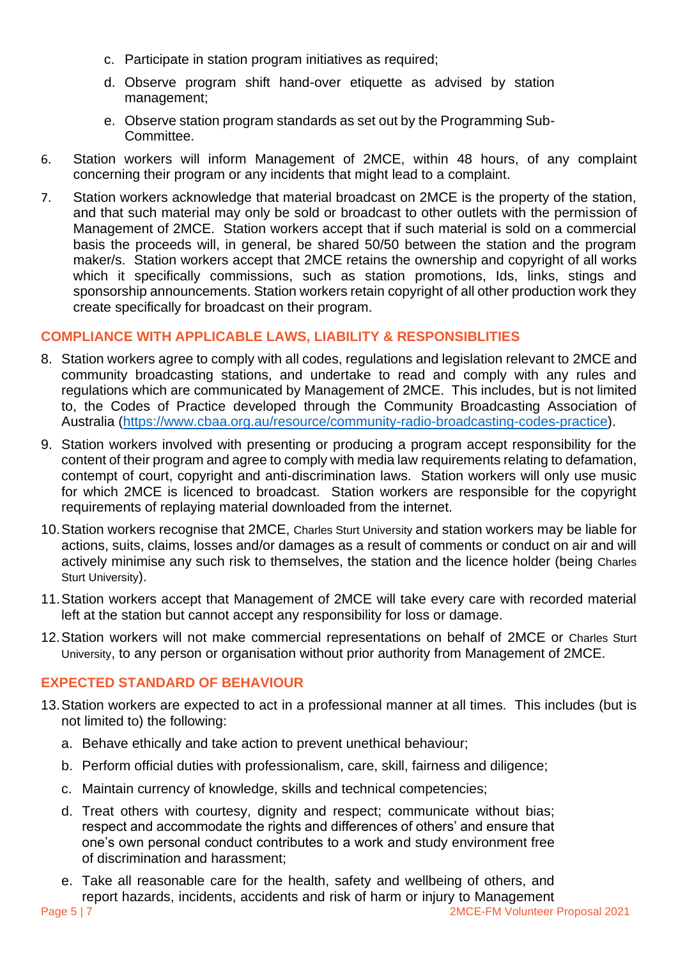- c. Participate in station program initiatives as required;
- d. Observe program shift hand-over etiquette as advised by station management;
- e. Observe station program standards as set out by the Programming Sub-Committee.
- 6. Station workers will inform Management of 2MCE, within 48 hours, of any complaint concerning their program or any incidents that might lead to a complaint.
- 7. Station workers acknowledge that material broadcast on 2MCE is the property of the station, and that such material may only be sold or broadcast to other outlets with the permission of Management of 2MCE. Station workers accept that if such material is sold on a commercial basis the proceeds will, in general, be shared 50/50 between the station and the program maker/s. Station workers accept that 2MCE retains the ownership and copyright of all works which it specifically commissions, such as station promotions, Ids, links, stings and sponsorship announcements. Station workers retain copyright of all other production work they create specifically for broadcast on their program.

### **COMPLIANCE WITH APPLICABLE LAWS, LIABILITY & RESPONSIBLITIES**

- 8. Station workers agree to comply with all codes, regulations and legislation relevant to 2MCE and community broadcasting stations, and undertake to read and comply with any rules and regulations which are communicated by Management of 2MCE. This includes, but is not limited to, the Codes of Practice developed through the Community Broadcasting Association of Australia [\(https://www.cbaa.org.au/resource/community-radio-broadcasting-codes-practice\)](https://www.cbaa.org.au/resource/community-radio-broadcasting-codes-practice).
- 9. Station workers involved with presenting or producing a program accept responsibility for the content of their program and agree to comply with media law requirements relating to defamation, contempt of court, copyright and anti-discrimination laws. Station workers will only use music for which 2MCE is licenced to broadcast. Station workers are responsible for the copyright requirements of replaying material downloaded from the internet.
- 10.Station workers recognise that 2MCE, Charles Sturt University and station workers may be liable for actions, suits, claims, losses and/or damages as a result of comments or conduct on air and will actively minimise any such risk to themselves, the station and the licence holder (being Charles Sturt University).
- 11.Station workers accept that Management of 2MCE will take every care with recorded material left at the station but cannot accept any responsibility for loss or damage.
- 12.Station workers will not make commercial representations on behalf of 2MCE or Charles Sturt University, to any person or organisation without prior authority from Management of 2MCE.

#### **EXPECTED STANDARD OF BEHAVIOUR**

- 13.Station workers are expected to act in a professional manner at all times. This includes (but is not limited to) the following:
	- a. Behave ethically and take action to prevent unethical behaviour;
	- b. Perform official duties with professionalism, care, skill, fairness and diligence;
	- c. Maintain currency of knowledge, skills and technical competencies;
	- d. Treat others with courtesy, dignity and respect; communicate without bias; respect and accommodate the rights and differences of others' and ensure that one's own personal conduct contributes to a work and study environment free of discrimination and harassment;
	- e. Take all reasonable care for the health, safety and wellbeing of others, and report hazards, incidents, accidents and risk of harm or injury to Management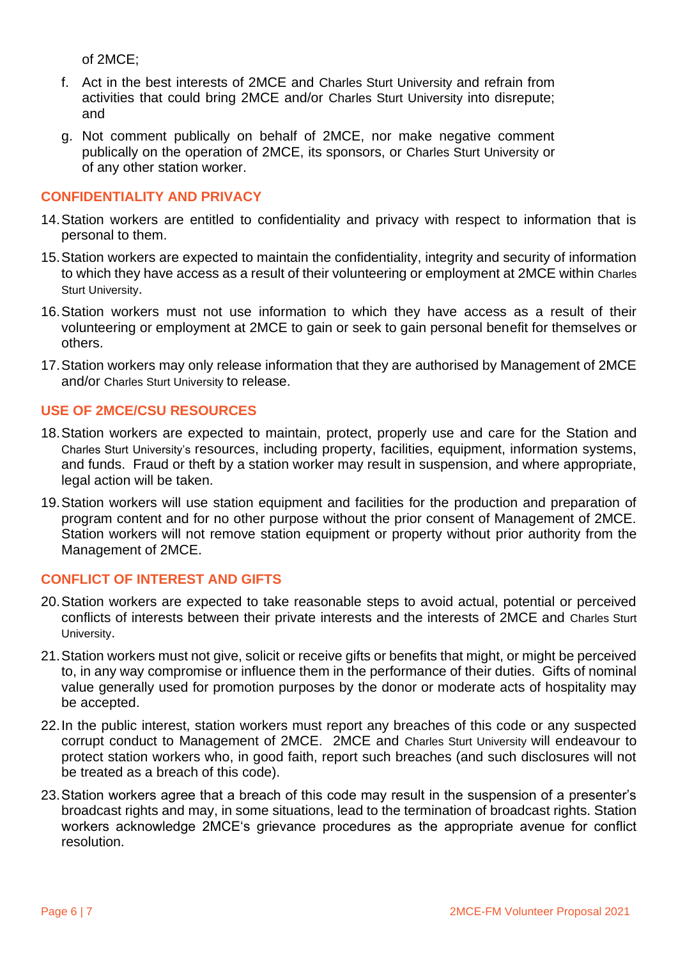of 2MCE;

- f. Act in the best interests of 2MCE and Charles Sturt University and refrain from activities that could bring 2MCE and/or Charles Sturt University into disrepute; and
- g. Not comment publically on behalf of 2MCE, nor make negative comment publically on the operation of 2MCE, its sponsors, or Charles Sturt University or of any other station worker.

### **CONFIDENTIALITY AND PRIVACY**

- 14.Station workers are entitled to confidentiality and privacy with respect to information that is personal to them.
- 15.Station workers are expected to maintain the confidentiality, integrity and security of information to which they have access as a result of their volunteering or employment at 2MCE within Charles Sturt University.
- 16.Station workers must not use information to which they have access as a result of their volunteering or employment at 2MCE to gain or seek to gain personal benefit for themselves or others.
- 17.Station workers may only release information that they are authorised by Management of 2MCE and/or Charles Sturt University to release.

### **USE OF 2MCE/CSU RESOURCES**

- 18.Station workers are expected to maintain, protect, properly use and care for the Station and Charles Sturt University's resources, including property, facilities, equipment, information systems, and funds. Fraud or theft by a station worker may result in suspension, and where appropriate, legal action will be taken.
- 19.Station workers will use station equipment and facilities for the production and preparation of program content and for no other purpose without the prior consent of Management of 2MCE. Station workers will not remove station equipment or property without prior authority from the Management of 2MCE.

#### **CONFLICT OF INTEREST AND GIFTS**

- 20.Station workers are expected to take reasonable steps to avoid actual, potential or perceived conflicts of interests between their private interests and the interests of 2MCE and Charles Sturt University.
- 21.Station workers must not give, solicit or receive gifts or benefits that might, or might be perceived to, in any way compromise or influence them in the performance of their duties. Gifts of nominal value generally used for promotion purposes by the donor or moderate acts of hospitality may be accepted.
- 22.In the public interest, station workers must report any breaches of this code or any suspected corrupt conduct to Management of 2MCE. 2MCE and Charles Sturt University will endeavour to protect station workers who, in good faith, report such breaches (and such disclosures will not be treated as a breach of this code).
- 23.Station workers agree that a breach of this code may result in the suspension of a presenter's broadcast rights and may, in some situations, lead to the termination of broadcast rights. Station workers acknowledge 2MCE's grievance procedures as the appropriate avenue for conflict resolution.